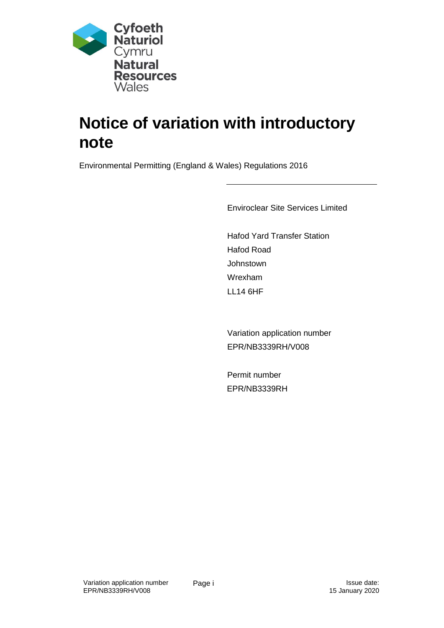

# **Notice of variation with introductory note**

Environmental Permitting (England & Wales) Regulations 2016

Enviroclear Site Services Limited

Hafod Yard Transfer Station Hafod Road **Johnstown** Wrexham LL14 6HF

Variation application number EPR/NB3339RH/V008

Permit number EPR/NB3339RH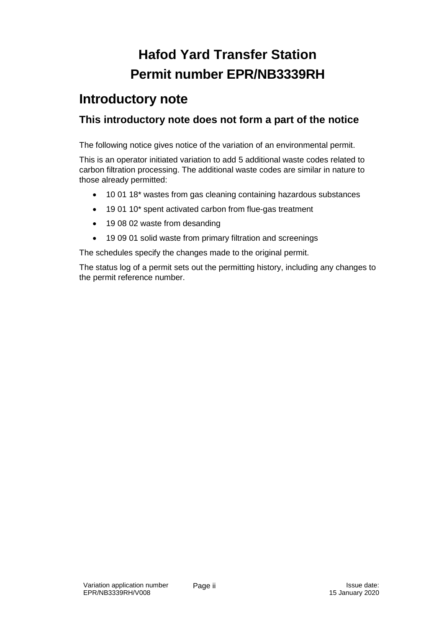## **Hafod Yard Transfer Station Permit number EPR/NB3339RH**

### **Introductory note**

### **This introductory note does not form a part of the notice**

The following notice gives notice of the variation of an environmental permit.

This is an operator initiated variation to add 5 additional waste codes related to carbon filtration processing. The additional waste codes are similar in nature to those already permitted:

- 10 01 18\* wastes from gas cleaning containing hazardous substances
- 19 01 10\* spent activated carbon from flue-gas treatment
- 19 08 02 waste from desanding
- 19 09 01 solid waste from primary filtration and screenings

The schedules specify the changes made to the original permit.

The status log of a permit sets out the permitting history, including any changes to the permit reference number.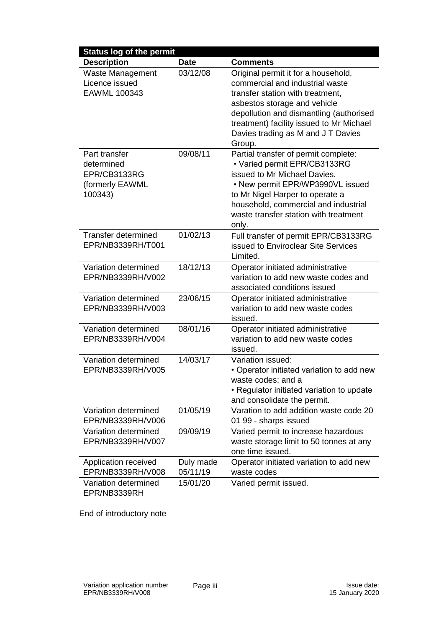| <b>Status log of the permit</b>                    |                       |                                                                                                                                                                                                                                   |
|----------------------------------------------------|-----------------------|-----------------------------------------------------------------------------------------------------------------------------------------------------------------------------------------------------------------------------------|
| <b>Description</b>                                 | <b>Date</b>           | <b>Comments</b>                                                                                                                                                                                                                   |
| Waste Management<br>Licence issued<br>EAWML 100343 | 03/12/08              | Original permit it for a household,<br>commercial and industrial waste<br>transfer station with treatment,<br>asbestos storage and vehicle<br>depollution and dismantling (authorised<br>treatment) facility issued to Mr Michael |
| Part transfer<br>determined                        | 09/08/11              | Davies trading as M and J T Davies<br>Group.<br>Partial transfer of permit complete:<br>• Varied permit EPR/CB3133RG                                                                                                              |
| EPR/CB3133RG<br>(formerly EAWML<br>100343)         |                       | issued to Mr Michael Davies.<br>• New permit EPR/WP3990VL issued<br>to Mr Nigel Harper to operate a<br>household, commercial and industrial<br>waste transfer station with treatment<br>only.                                     |
| <b>Transfer determined</b><br>EPR/NB3339RH/T001    | 01/02/13              | Full transfer of permit EPR/CB3133RG<br>issued to Enviroclear Site Services<br>Limited.                                                                                                                                           |
| Variation determined<br>EPR/NB3339RH/V002          | 18/12/13              | Operator initiated administrative<br>variation to add new waste codes and<br>associated conditions issued                                                                                                                         |
| Variation determined<br>EPR/NB3339RH/V003          | 23/06/15              | Operator initiated administrative<br>variation to add new waste codes<br>issued.                                                                                                                                                  |
| Variation determined<br>EPR/NB3339RH/V004          | 08/01/16              | Operator initiated administrative<br>variation to add new waste codes<br>issued.                                                                                                                                                  |
| Variation determined<br>EPR/NB3339RH/V005          | 14/03/17              | Variation issued:<br>• Operator initiated variation to add new<br>waste codes; and a<br>• Regulator initiated variation to update<br>and consolidate the permit.                                                                  |
| Variation determined<br>EPR/NB3339RH/V006          | 01/05/19              | Varation to add addition waste code 20<br>01 99 - sharps issued                                                                                                                                                                   |
| Variation determined<br>EPR/NB3339RH/V007          | 09/09/19              | Varied permit to increase hazardous<br>waste storage limit to 50 tonnes at any<br>one time issued.                                                                                                                                |
| Application received<br>EPR/NB3339RH/V008          | Duly made<br>05/11/19 | Operator initiated variation to add new<br>waste codes                                                                                                                                                                            |
| Variation determined<br>EPR/NB3339RH               | 15/01/20              | Varied permit issued.                                                                                                                                                                                                             |

End of introductory note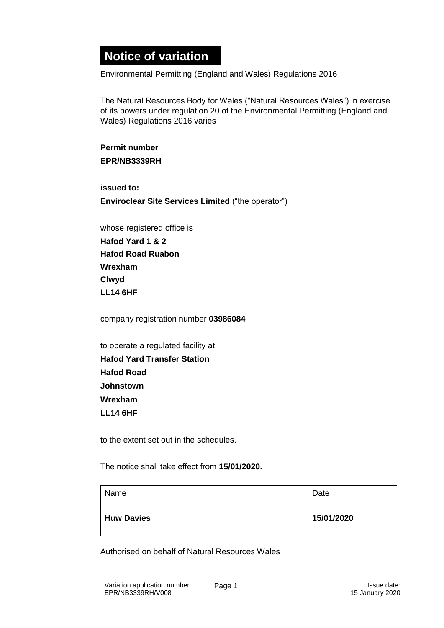## **Notice of variation**

Environmental Permitting (England and Wales) Regulations 2016

The Natural Resources Body for Wales ("Natural Resources Wales") in exercise of its powers under regulation 20 of the Environmental Permitting (England and Wales) Regulations 2016 varies

**Permit number EPR/NB3339RH** 

**issued to:**

**Enviroclear Site Services Limited** ("the operator")

whose registered office is **Hafod Yard 1 & 2 Hafod Road Ruabon Wrexham Clwyd LL14 6HF** 

company registration number **03986084**

to operate a regulated facility at **Hafod Yard Transfer Station Hafod Road Johnstown Wrexham LL14 6HF** 

to the extent set out in the schedules.

The notice shall take effect from **15/01/2020.**

| Name              | Date       |
|-------------------|------------|
| <b>Huw Davies</b> | 15/01/2020 |

Authorised on behalf of Natural Resources Wales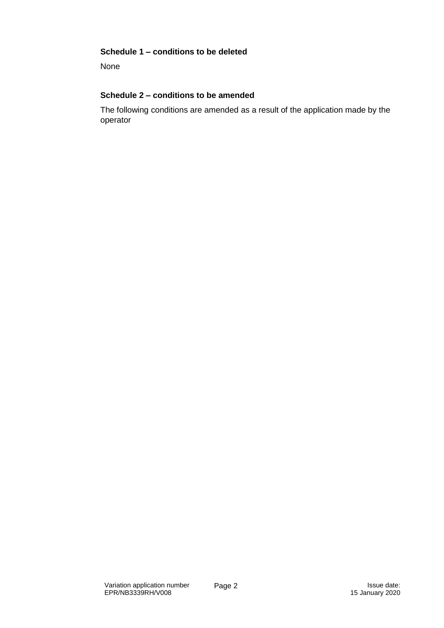#### **Schedule 1 – conditions to be deleted**

None

#### **Schedule 2 – conditions to be amended**

The following conditions are amended as a result of the application made by the operator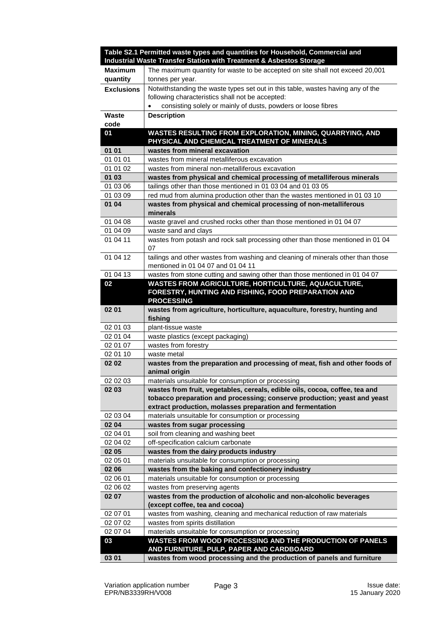|                   | Table S2.1 Permitted waste types and quantities for Household, Commercial and<br>Industrial Waste Transfer Station with Treatment & Asbestos Storage |
|-------------------|------------------------------------------------------------------------------------------------------------------------------------------------------|
| <b>Maximum</b>    | The maximum quantity for waste to be accepted on site shall not exceed 20,001                                                                        |
| quantity          | tonnes per year.                                                                                                                                     |
| <b>Exclusions</b> | Notwithstanding the waste types set out in this table, wastes having any of the                                                                      |
|                   | following characteristics shall not be accepted:                                                                                                     |
|                   | consisting solely or mainly of dusts, powders or loose fibres                                                                                        |
| <b>Waste</b>      | <b>Description</b>                                                                                                                                   |
| code              |                                                                                                                                                      |
| 01                | WASTES RESULTING FROM EXPLORATION, MINING, QUARRYING, AND                                                                                            |
|                   | PHYSICAL AND CHEMICAL TREATMENT OF MINERALS                                                                                                          |
| 01 01             | wastes from mineral excavation                                                                                                                       |
| 01 01 01          | wastes from mineral metalliferous excavation                                                                                                         |
| 01 01 02          | wastes from mineral non-metalliferous excavation                                                                                                     |
| 01 03             | wastes from physical and chemical processing of metalliferous minerals                                                                               |
| 01 03 06          | tailings other than those mentioned in 01 03 04 and 01 03 05                                                                                         |
| 01 03 09          | red mud from alumina production other than the wastes mentioned in 01 03 10                                                                          |
| 01 04             | wastes from physical and chemical processing of non-metalliferous<br>minerals                                                                        |
| 01 04 08          | waste gravel and crushed rocks other than those mentioned in 01 04 07                                                                                |
| 01 04 09          | waste sand and clays                                                                                                                                 |
| 01 04 11          | wastes from potash and rock salt processing other than those mentioned in 01 04<br>07                                                                |
| 01 04 12          | tailings and other wastes from washing and cleaning of minerals other than those<br>mentioned in 01 04 07 and 01 04 11                               |
| 01 04 13          | wastes from stone cutting and sawing other than those mentioned in 01 04 07                                                                          |
| 02                | WASTES FROM AGRICULTURE, HORTICULTURE, AQUACULTURE,                                                                                                  |
|                   | FORESTRY, HUNTING AND FISHING, FOOD PREPARATION AND<br><b>PROCESSING</b>                                                                             |
|                   |                                                                                                                                                      |
| 02 01             | wastes from agriculture, horticulture, aquaculture, forestry, hunting and<br>fishing                                                                 |
| 02 01 03          | plant-tissue waste                                                                                                                                   |
| 02 01 04          | waste plastics (except packaging)                                                                                                                    |
| 02 01 07          | wastes from forestry                                                                                                                                 |
| 02 01 10          | waste metal                                                                                                                                          |
| 02 02             | wastes from the preparation and processing of meat, fish and other foods of<br>animal origin                                                         |
| 02 02 03          | materials unsuitable for consumption or processing                                                                                                   |
| 02 03             | wastes from fruit, vegetables, cereals, edible oils, cocoa, coffee, tea and                                                                          |
|                   | tobacco preparation and processing; conserve production; yeast and yeast                                                                             |
|                   | extract production, molasses preparation and fermentation                                                                                            |
| 02 03 04          | materials unsuitable for consumption or processing                                                                                                   |
| 02 04             | wastes from sugar processing                                                                                                                         |
| 02 04 01          | soil from cleaning and washing beet                                                                                                                  |
| 02 04 02          | off-specification calcium carbonate                                                                                                                  |
| 02 05             | wastes from the dairy products industry                                                                                                              |
| 02 05 01          | materials unsuitable for consumption or processing                                                                                                   |
| 02 06             | wastes from the baking and confectionery industry                                                                                                    |
| 02 06 01          | materials unsuitable for consumption or processing                                                                                                   |
| 02 06 02<br>02 07 | wastes from preserving agents                                                                                                                        |
|                   | wastes from the production of alcoholic and non-alcoholic beverages<br>(except coffee, tea and cocoa)                                                |
| 02 07 01          | wastes from washing, cleaning and mechanical reduction of raw materials                                                                              |
| 02 07 02          | wastes from spirits distillation                                                                                                                     |
| 02 07 04          | materials unsuitable for consumption or processing                                                                                                   |
| 03                | WASTES FROM WOOD PROCESSING AND THE PRODUCTION OF PANELS                                                                                             |
| 03 01             | AND FURNITURE, PULP, PAPER AND CARDBOARD<br>wastes from wood processing and the production of panels and furniture                                   |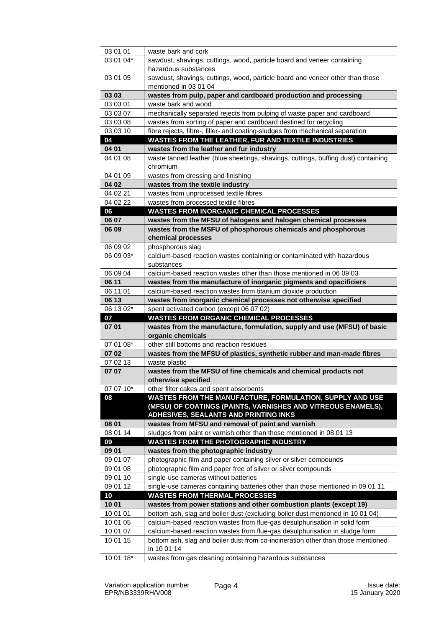| 03 01 01  | waste bark and cork                                                                             |
|-----------|-------------------------------------------------------------------------------------------------|
| 03 01 04* | sawdust, shavings, cuttings, wood, particle board and veneer containing                         |
|           | hazardous substances                                                                            |
| 03 01 05  | sawdust, shavings, cuttings, wood, particle board and veneer other than those                   |
|           | mentioned in 03 01 04                                                                           |
| 03 03     | wastes from pulp, paper and cardboard production and processing                                 |
| 03 03 01  | waste bark and wood                                                                             |
| 03 03 07  | mechanically separated rejects from pulping of waste paper and cardboard                        |
| 03 03 08  | wastes from sorting of paper and cardboard destined for recycling                               |
| 03 03 10  | fibre rejects, fibre-, filler- and coating-sludges from mechanical separation                   |
| 04        | <b>WASTES FROM THE LEATHER, FUR AND TEXTILE INDUSTRIES</b>                                      |
| 04 01     | wastes from the leather and fur industry                                                        |
| 04 01 08  | waste tanned leather (blue sheetings, shavings, cuttings, buffing dust) containing              |
|           | chromium                                                                                        |
| 04 01 09  | wastes from dressing and finishing                                                              |
| 04 02     | wastes from the textile industry                                                                |
| 04 02 21  | wastes from unprocessed textile fibres                                                          |
| 04 02 22  | wastes from processed textile fibres                                                            |
| 06        | <b>WASTES FROM INORGANIC CHEMICAL PROCESSES</b>                                                 |
| 06 07     | wastes from the MFSU of halogens and halogen chemical processes                                 |
| 06 09     | wastes from the MSFU of phosphorous chemicals and phosphorous                                   |
|           | chemical processes                                                                              |
| 06 09 02  | phosphorous slag                                                                                |
| 06 09 03* | calcium-based reaction wastes containing or contaminated with hazardous                         |
| 06 09 04  | substances<br>calcium-based reaction wastes other than those mentioned in 06 09 03              |
| 06 11     | wastes from the manufacture of inorganic pigments and opacificiers                              |
| 06 11 01  | calcium-based reaction wastes from titanium dioxide production                                  |
| 06 13     | wastes from inorganic chemical processes not otherwise specified                                |
|           |                                                                                                 |
|           |                                                                                                 |
| 06 13 02* | spent activated carbon (except 06 07 02)                                                        |
| 07        | <b>WASTES FROM ORGANIC CHEMICAL PROCESSES</b>                                                   |
| 07 01     | wastes from the manufacture, formulation, supply and use (MFSU) of basic                        |
| 07 01 08* | organic chemicals<br>other still bottoms and reaction residues                                  |
| 07 02     | wastes from the MFSU of plastics, synthetic rubber and man-made fibres                          |
| 07 02 13  | waste plastic                                                                                   |
| 07 07     | wastes from the MFSU of fine chemicals and chemical products not                                |
|           | otherwise specified                                                                             |
| 07 07 10* | other filter cakes and spent absorbents                                                         |
| 08        | WASTES FROM THE MANUFACTURE, FORMULATION, SUPPLY AND USE                                        |
|           | (MFSU) OF COATINGS (PAINTS, VARNISHES AND VITREOUS ENAMELS),                                    |
|           | <b>ADHESIVES, SEALANTS AND PRINTING INKS</b>                                                    |
| 08 01     | wastes from MFSU and removal of paint and varnish                                               |
| 08 01 14  | sludges from paint or varnish other than those mentioned in 08 01 13                            |
| 09        | <b>WASTES FROM THE PHOTOGRAPHIC INDUSTRY</b>                                                    |
| 09 01     | wastes from the photographic industry                                                           |
| 09 01 07  | photographic film and paper containing silver or silver compounds                               |
| 09 01 08  | photographic film and paper free of silver or silver compounds                                  |
| 09 01 10  | single-use cameras without batteries                                                            |
| 09 01 12  | single-use cameras containing batteries other than those mentioned in 09 01 11                  |
| 10        | <b>WASTES FROM THERMAL PROCESSES</b>                                                            |
| 10 01     | wastes from power stations and other combustion plants (except 19)                              |
| 10 01 01  | bottom ash, slag and boiler dust (excluding boiler dust mentioned in 10 01 04)                  |
| 10 01 05  | calcium-based reaction wastes from flue-gas desulphurisation in solid form                      |
| 10 01 07  | calcium-based reaction wastes from flue-gas desulphurisation in sludge form                     |
| 10 01 15  | bottom ash, slag and boiler dust from co-incineration other than those mentioned<br>in 10 01 14 |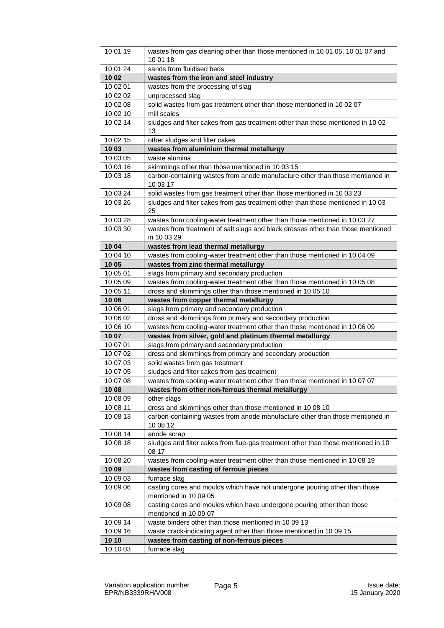| 10 01 19 | wastes from gas cleaning other than those mentioned in 10 01 05, 10 01 07 and                       |
|----------|-----------------------------------------------------------------------------------------------------|
|          | 10 01 18                                                                                            |
| 10 01 24 | sands from fluidised beds                                                                           |
| 10 02    | wastes from the iron and steel industry                                                             |
| 10 02 01 | wastes from the processing of slag                                                                  |
| 10 02 02 | unprocessed slag                                                                                    |
| 10 02 08 | solid wastes from gas treatment other than those mentioned in 10 02 07                              |
| 10 02 10 | mill scales                                                                                         |
| 10 02 14 | sludges and filter cakes from gas treatment other than those mentioned in 10 02<br>13               |
| 10 02 15 | other sludges and filter cakes                                                                      |
| 10 03    | wastes from aluminium thermal metallurgy                                                            |
| 10 03 05 | waste alumina                                                                                       |
| 10 03 16 | skimmings other than those mentioned in 10 03 15                                                    |
| 10 03 18 | carbon-containing wastes from anode manufacture other than those mentioned in<br>10 03 17           |
| 10 03 24 | solid wastes from gas treatment other than those mentioned in 10 03 23                              |
| 10 03 26 | sludges and filter cakes from gas treatment other than those mentioned in 10 03<br>25               |
| 10 03 28 | wastes from cooling-water treatment other than those mentioned in 10 03 27                          |
| 10 03 30 | wastes from treatment of salt slags and black drosses other than those mentioned                    |
|          | in 10 03 29                                                                                         |
| 10 04    | wastes from lead thermal metallurgy                                                                 |
| 10 04 10 | wastes from cooling-water treatment other than those mentioned in 10 04 09                          |
| 10 05    | wastes from zinc thermal metallurgy                                                                 |
| 10 05 01 | slags from primary and secondary production                                                         |
| 10 05 09 | wastes from cooling-water treatment other than those mentioned in 10 05 08                          |
| 10 05 11 | dross and skimmings other than those mentioned in 10 05 10                                          |
| 10 06    | wastes from copper thermal metallurgy                                                               |
| 10 06 01 | slags from primary and secondary production                                                         |
| 10 06 02 | dross and skimmings from primary and secondary production                                           |
| 10 06 10 | wastes from cooling-water treatment other than those mentioned in 10 06 09                          |
| 10 07    | wastes from silver, gold and platinum thermal metallurgy                                            |
| 10 07 01 | slags from primary and secondary production                                                         |
| 10 07 02 | dross and skimmings from primary and secondary production                                           |
| 10 07 03 | solid wastes from gas treatment                                                                     |
| 10 07 05 | sludges and filter cakes from gas treatment                                                         |
| 10 07 08 | wastes from cooling-water treatment other than those mentioned in 10 07 07                          |
| 10 08    | wastes from other non-ferrous thermal metallurgy                                                    |
| 10 08 09 | other slags                                                                                         |
| 10 08 11 | dross and skimmings other than those mentioned in 10 08 10                                          |
| 10 08 13 | carbon-containing wastes from anode manufacture other than those mentioned in<br>10 08 12           |
| 10 08 14 | anode scrap                                                                                         |
| 10 08 18 | sludges and filter cakes from flue-gas treatment other than those mentioned in 10<br>08 17          |
| 10 08 20 | wastes from cooling-water treatment other than those mentioned in 10 08 19                          |
| 10 09    | wastes from casting of ferrous pieces                                                               |
| 10 09 03 | furnace slag                                                                                        |
| 10 09 06 | casting cores and moulds which have not undergone pouring other than those<br>mentioned in 10 09 05 |
| 10 09 08 | casting cores and moulds which have undergone pouring other than those                              |
|          | mentioned in 10 09 07                                                                               |
| 10 09 14 | waste binders other than those mentioned in 10 09 13                                                |
| 10 09 16 | waste crack-indicating agent other than those mentioned in 10 09 15                                 |
|          |                                                                                                     |
| 10 10    | wastes from casting of non-ferrous pieces                                                           |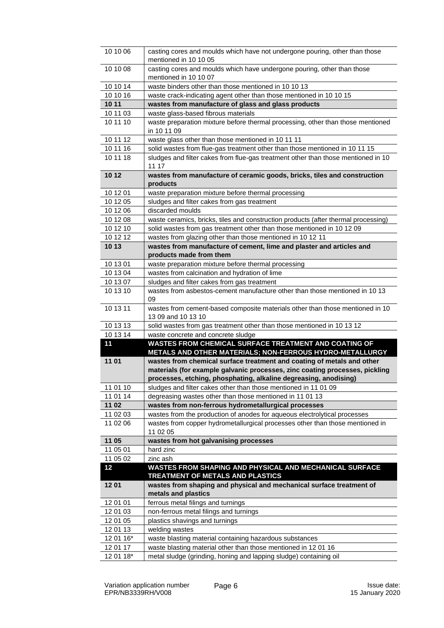| 10 10 06             | casting cores and moulds which have not undergone pouring, other than those<br>mentioned in 10 10 05 |
|----------------------|------------------------------------------------------------------------------------------------------|
| 10 10 08             | casting cores and moulds which have undergone pouring, other than those                              |
|                      | mentioned in 10 10 07                                                                                |
| 10 10 14             | waste binders other than those mentioned in 10 10 13                                                 |
| 10 10 16             | waste crack-indicating agent other than those mentioned in 10 10 15                                  |
| 10 11                | wastes from manufacture of glass and glass products                                                  |
| 10 11 03             | waste glass-based fibrous materials                                                                  |
| 10 11 10             | waste preparation mixture before thermal processing, other than those mentioned                      |
|                      | in 10 11 09                                                                                          |
| 10 11 12             | waste glass other than those mentioned in 10 11 11                                                   |
| 10 11 16             | solid wastes from flue-gas treatment other than those mentioned in 10 11 15                          |
| 10 11 18             | sludges and filter cakes from flue-gas treatment other than those mentioned in 10<br>11 17           |
| 10 12                | wastes from manufacture of ceramic goods, bricks, tiles and construction                             |
|                      | products                                                                                             |
| 10 12 01             | waste preparation mixture before thermal processing                                                  |
| 10 12 05             | sludges and filter cakes from gas treatment                                                          |
| 10 12 06             | discarded moulds                                                                                     |
| 10 12 08             | waste ceramics, bricks, tiles and construction products (after thermal processing)                   |
| 10 12 10             | solid wastes from gas treatment other than those mentioned in 10 12 09                               |
| 10 12 12             | wastes from glazing other than those mentioned in 10 12 11                                           |
| 10 13                | wastes from manufacture of cement, lime and plaster and articles and                                 |
| 10 13 01             | products made from them                                                                              |
| 10 13 04             | waste preparation mixture before thermal processing<br>wastes from calcination and hydration of lime |
| 10 13 07             | sludges and filter cakes from gas treatment                                                          |
| 10 13 10             | wastes from asbestos-cement manufacture other than those mentioned in 10 13                          |
|                      | 09                                                                                                   |
| 10 13 11             | wastes from cement-based composite materials other than those mentioned in 10                        |
|                      | 13 09 and 10 13 10                                                                                   |
| 10 13 13<br>10 13 14 | solid wastes from gas treatment other than those mentioned in 10 13 12                               |
| 11                   | waste concrete and concrete sludge<br>WASTES FROM CHEMICAL SURFACE TREATMENT AND COATING OF          |
|                      | METALS AND OTHER MATERIALS; NON-FERROUS HYDRO-METALLURGY                                             |
| 11 01                | wastes from chemical surface treatment and coating of metals and other                               |
|                      | materials (for example galvanic processes, zinc coating processes, pickling                          |
|                      | processes, etching, phosphating, alkaline degreasing, anodising)                                     |
| 11 01 10             | sludges and filter cakes other than those mentioned in 11 01 09                                      |
| 11 01 14             | degreasing wastes other than those mentioned in 11 01 13                                             |
| 11 02                | wastes from non-ferrous hydrometallurgical processes                                                 |
| 11 02 03             | wastes from the production of anodes for aqueous electrolytical processes                            |
| 11 02 06             | wastes from copper hydrometallurgical processes other than those mentioned in<br>11 02 05            |
| 11 05                | wastes from hot galvanising processes                                                                |
| 11 05 01             | hard zinc                                                                                            |
| 11 05 02             | zinc ash                                                                                             |
| 12                   | WASTES FROM SHAPING AND PHYSICAL AND MECHANICAL SURFACE<br>TREATMENT OF METALS AND PLASTICS          |
| 1201                 | wastes from shaping and physical and mechanical surface treatment of                                 |
|                      | metals and plastics                                                                                  |
| 12 01 01             | ferrous metal filings and turnings                                                                   |
| 12 01 03             | non-ferrous metal filings and turnings                                                               |
| 12 01 05             | plastics shavings and turnings                                                                       |
| 12 01 13             | welding wastes                                                                                       |
| 12 01 16*            | waste blasting material containing hazardous substances                                              |
| 12 01 17             | waste blasting material other than those mentioned in 12 01 16                                       |
| 12 01 18*            | metal sludge (grinding, honing and lapping sludge) containing oil                                    |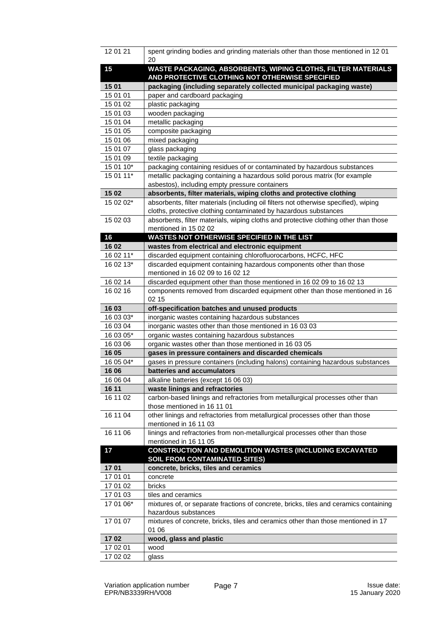| 12 01 21              | spent grinding bodies and grinding materials other than those mentioned in 12 01                                                                       |
|-----------------------|--------------------------------------------------------------------------------------------------------------------------------------------------------|
|                       | 20                                                                                                                                                     |
| 15                    | WASTE PACKAGING, ABSORBENTS, WIPING CLOTHS, FILTER MATERIALS<br>AND PROTECTIVE CLOTHING NOT OTHERWISE SPECIFIED                                        |
| 15 01                 | packaging (including separately collected municipal packaging waste)                                                                                   |
| 15 01 01              | paper and cardboard packaging                                                                                                                          |
| 15 01 02              | plastic packaging                                                                                                                                      |
| 15 01 03              | wooden packaging                                                                                                                                       |
| 15 01 04              | metallic packaging                                                                                                                                     |
| 15 01 05              | composite packaging                                                                                                                                    |
| 15 01 06              | mixed packaging                                                                                                                                        |
| 15 01 07              | glass packaging                                                                                                                                        |
| 15 01 09              | textile packaging                                                                                                                                      |
| 15 01 10*             | packaging containing residues of or contaminated by hazardous substances                                                                               |
| 15 01 11*             | metallic packaging containing a hazardous solid porous matrix (for example                                                                             |
|                       | asbestos), including empty pressure containers                                                                                                         |
| 15 02                 | absorbents, filter materials, wiping cloths and protective clothing                                                                                    |
| 15 02 02*             | absorbents, filter materials (including oil filters not otherwise specified), wiping                                                                   |
|                       | cloths, protective clothing contaminated by hazardous substances                                                                                       |
| 15 02 03              | absorbents, filter materials, wiping cloths and protective clothing other than those                                                                   |
|                       | mentioned in 15 02 02                                                                                                                                  |
| 16                    | <b>WASTES NOT OTHERWISE SPECIFIED IN THE LIST</b>                                                                                                      |
| 16 02                 | wastes from electrical and electronic equipment<br>discarded equipment containing chlorofluorocarbons, HCFC, HFC                                       |
| 16 02 11*             |                                                                                                                                                        |
| 16 02 13*             | discarded equipment containing hazardous components other than those                                                                                   |
|                       | mentioned in 16 02 09 to 16 02 12                                                                                                                      |
| 16 02 14<br>16 02 16  | discarded equipment other than those mentioned in 16 02 09 to 16 02 13<br>components removed from discarded equipment other than those mentioned in 16 |
|                       | 02 15                                                                                                                                                  |
|                       |                                                                                                                                                        |
|                       |                                                                                                                                                        |
| 16 03                 | off-specification batches and unused products                                                                                                          |
| 16 03 03*             | inorganic wastes containing hazardous substances                                                                                                       |
| 16 03 04              | inorganic wastes other than those mentioned in 16 03 03                                                                                                |
| 16 03 05*<br>16 03 06 | organic wastes containing hazardous substances                                                                                                         |
| 16 05                 | organic wastes other than those mentioned in 16 03 05<br>gases in pressure containers and discarded chemicals                                          |
| 16 05 04*             |                                                                                                                                                        |
| 16 06                 | gases in pressure containers (including halons) containing hazardous substances<br>batteries and accumulators                                          |
| 16 06 04              | alkaline batteries (except 16 06 03)                                                                                                                   |
| 16 11                 | waste linings and refractories                                                                                                                         |
| 16 11 02              |                                                                                                                                                        |
|                       | carbon-based linings and refractories from metallurgical processes other than<br>those mentioned in 16 11 01                                           |
| 16 11 04              | other linings and refractories from metallurgical processes other than those                                                                           |
|                       | mentioned in 16 11 03                                                                                                                                  |
| 16 11 06              | linings and refractories from non-metallurgical processes other than those                                                                             |
|                       | mentioned in 16 11 05                                                                                                                                  |
| 17                    | CONSTRUCTION AND DEMOLITION WASTES (INCLUDING EXCAVATED                                                                                                |
|                       | <b>SOIL FROM CONTAMINATED SITES)</b>                                                                                                                   |
| 1701                  | concrete, bricks, tiles and ceramics                                                                                                                   |
| 17 01 01              | concrete                                                                                                                                               |
| 17 01 02              | bricks                                                                                                                                                 |
| 17 01 03              | tiles and ceramics                                                                                                                                     |
| 17 01 06*             | mixtures of, or separate fractions of concrete, bricks, tiles and ceramics containing                                                                  |
|                       | hazardous substances                                                                                                                                   |
| 17 01 07              | mixtures of concrete, bricks, tiles and ceramics other than those mentioned in 17                                                                      |
|                       | 01 06                                                                                                                                                  |
| 1702                  | wood, glass and plastic                                                                                                                                |
| 17 02 01<br>17 02 02  | wood<br>glass                                                                                                                                          |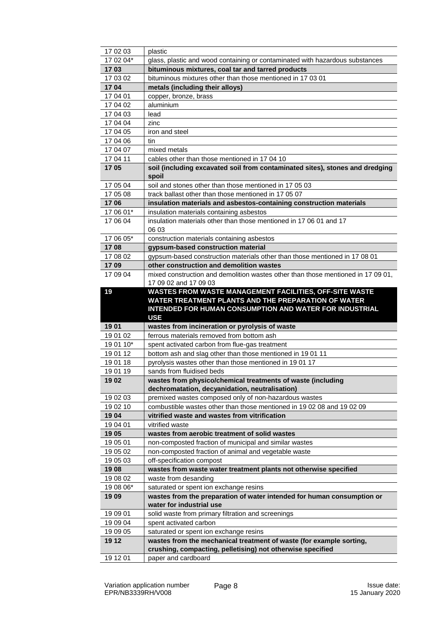| 17 02 03              | plastic                                                                                                               |
|-----------------------|-----------------------------------------------------------------------------------------------------------------------|
| 17 02 04*             | glass, plastic and wood containing or contaminated with hazardous substances                                          |
| 1703                  | bituminous mixtures, coal tar and tarred products                                                                     |
| 17 03 02              | bituminous mixtures other than those mentioned in 17 03 01                                                            |
| 1704                  | metals (including their alloys)                                                                                       |
| 17 04 01              | copper, bronze, brass                                                                                                 |
| 17 04 02              | aluminium                                                                                                             |
| 17 04 03              | lead                                                                                                                  |
| 17 04 04              | zinc                                                                                                                  |
| 17 04 05              | iron and steel                                                                                                        |
| 17 04 06              | tin                                                                                                                   |
| 17 04 07              | mixed metals                                                                                                          |
| 17 04 11              | cables other than those mentioned in 17 04 10                                                                         |
| 1705                  | soil (including excavated soil from contaminated sites), stones and dredging<br>spoil                                 |
| 17 05 04              | soil and stones other than those mentioned in 17 05 03                                                                |
| 17 05 08              | track ballast other than those mentioned in 17 05 07                                                                  |
| 1706                  | insulation materials and asbestos-containing construction materials                                                   |
| 17 06 01*             | insulation materials containing asbestos                                                                              |
| 17 06 04              | insulation materials other than those mentioned in 17 06 01 and 17<br>06 03                                           |
| 17 06 05*             | construction materials containing asbestos                                                                            |
| 1708                  | gypsum-based construction material                                                                                    |
| 17 08 02              | gypsum-based construction materials other than those mentioned in 17 08 01                                            |
| 1709                  | other construction and demolition wastes                                                                              |
| 17 09 04              | mixed construction and demolition wastes other than those mentioned in 17 09 01,                                      |
|                       | 17 09 02 and 17 09 03                                                                                                 |
| 19                    | WASTES FROM WASTE MANAGEMENT FACILITIES, OFF-SITE WASTE<br>WATER TREATMENT PLANTS AND THE PREPARATION OF WATER        |
|                       | INTENDED FOR HUMAN CONSUMPTION AND WATER FOR INDUSTRIAL                                                               |
|                       | <b>USE</b>                                                                                                            |
| 19 01                 | wastes from incineration or pyrolysis of waste                                                                        |
| 19 01 02<br>19 01 10* | ferrous materials removed from bottom ash                                                                             |
| 19 01 12              | spent activated carbon from flue-gas treatment                                                                        |
| 19 01 18              | bottom ash and slag other than those mentioned in 19 01 11<br>pyrolysis wastes other than those mentioned in 19 01 17 |
| 19 01 19              | sands from fluidised beds                                                                                             |
| 1902                  | wastes from physico/chemical treatments of waste (including                                                           |
|                       | dechromatation, decyanidation, neutralisation)                                                                        |
| 19 02 03              | premixed wastes composed only of non-hazardous wastes                                                                 |
| 19 02 10              | combustible wastes other than those mentioned in 19 02 08 and 19 02 09                                                |
| 1904                  | vitrified waste and wastes from vitrification                                                                         |
| 19 04 01              | vitrified waste                                                                                                       |
| 19 05                 | wastes from aerobic treatment of solid wastes                                                                         |
| 19 05 01              | non-composted fraction of municipal and similar wastes                                                                |
| 19 05 02              | non-composted fraction of animal and vegetable waste                                                                  |
| 19 05 03              | off-specification compost                                                                                             |
| 19 08                 | wastes from waste water treatment plants not otherwise specified                                                      |
| 19 08 02              | waste from desanding                                                                                                  |
| 19 08 06*             | saturated or spent ion exchange resins                                                                                |
| 1909                  | wastes from the preparation of water intended for human consumption or                                                |
|                       | water for industrial use                                                                                              |
| 19 09 01              | solid waste from primary filtration and screenings                                                                    |
| 19 09 04              | spent activated carbon                                                                                                |
| 19 09 05              | saturated or spent ion exchange resins                                                                                |
| 19 12                 | wastes from the mechanical treatment of waste (for example sorting,                                                   |
| 19 12 01              | crushing, compacting, pelletising) not otherwise specified<br>paper and cardboard                                     |